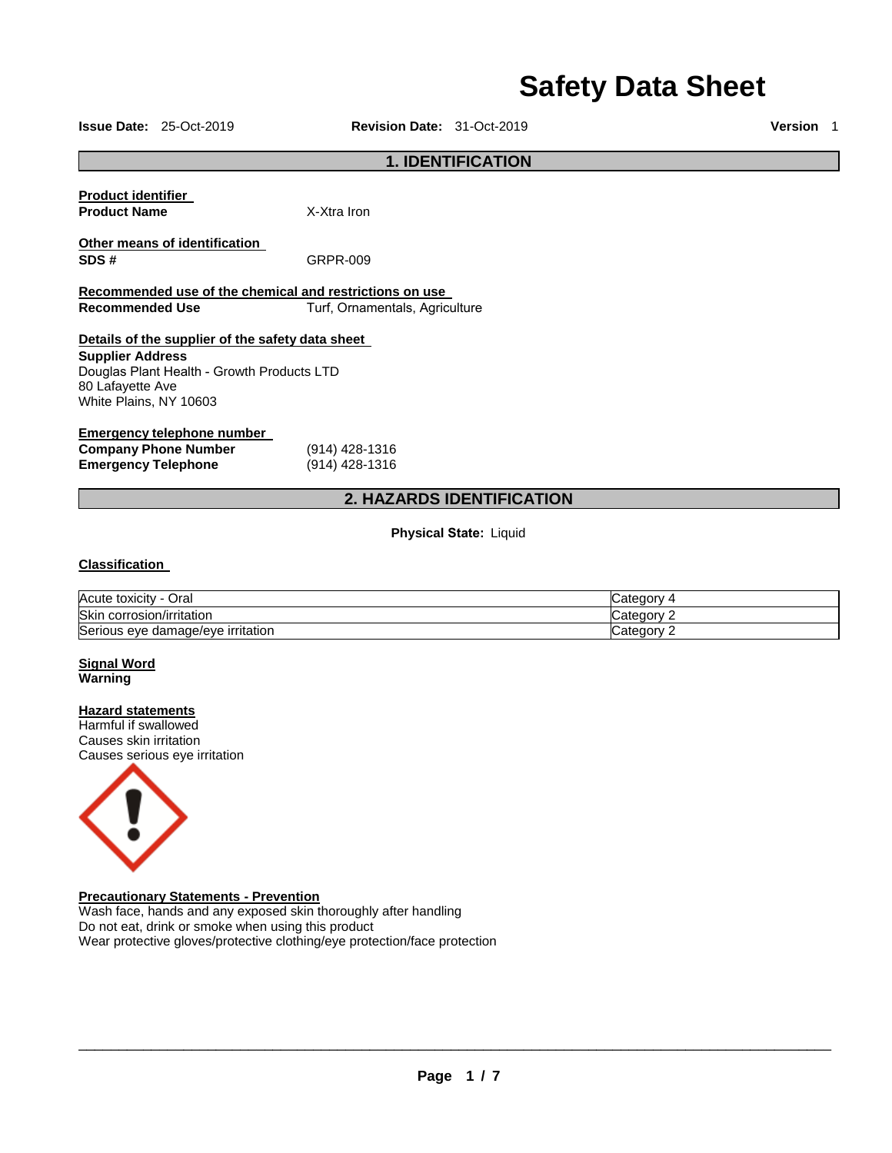# **Safety Data Sheet**

**Issue Date:** 25-Oct-2019 **Revision Date:** 31-Oct-2019 **Version** 1

## **1. IDENTIFICATION**

**Product identifier Product Name** X-Xtra Iron

**SDS #** GRPR-009

**Other means of identification** 

**Recommended use of the chemical and restrictions on use Recommended Use Turf, Ornamentals, Agriculture** 

## **Details of the supplier of the safety data sheet Supplier Address**

Douglas Plant Health - Growth Products LTD 80 Lafayette Ave White Plains, NY 10603

## **Emergency telephone number**

| <b>Company Phone Number</b> | (914) 428-1316 |
|-----------------------------|----------------|
| <b>Emergency Telephone</b>  | (914) 428-1316 |

# **2. HAZARDS IDENTIFICATION**

**Physical State:** Liquid

## **Classification**

| Acute toxicity<br>Oral            | ∵ateɑorش  |
|-----------------------------------|-----------|
| Skin<br>corrosion/irritation      | ategorٽ . |
| Serious eye damage/eye irritation | ∵ategorvٽ |

### **Signal Word Warning**

#### **Hazard statements**

Harmful if swallowed Causes skin irritation Causes serious eye irritation



# **Precautionary Statements - Prevention**

Wash face, hands and any exposed skin thoroughly after handling Do not eat, drink or smoke when using this product Wear protective gloves/protective clothing/eye protection/face protection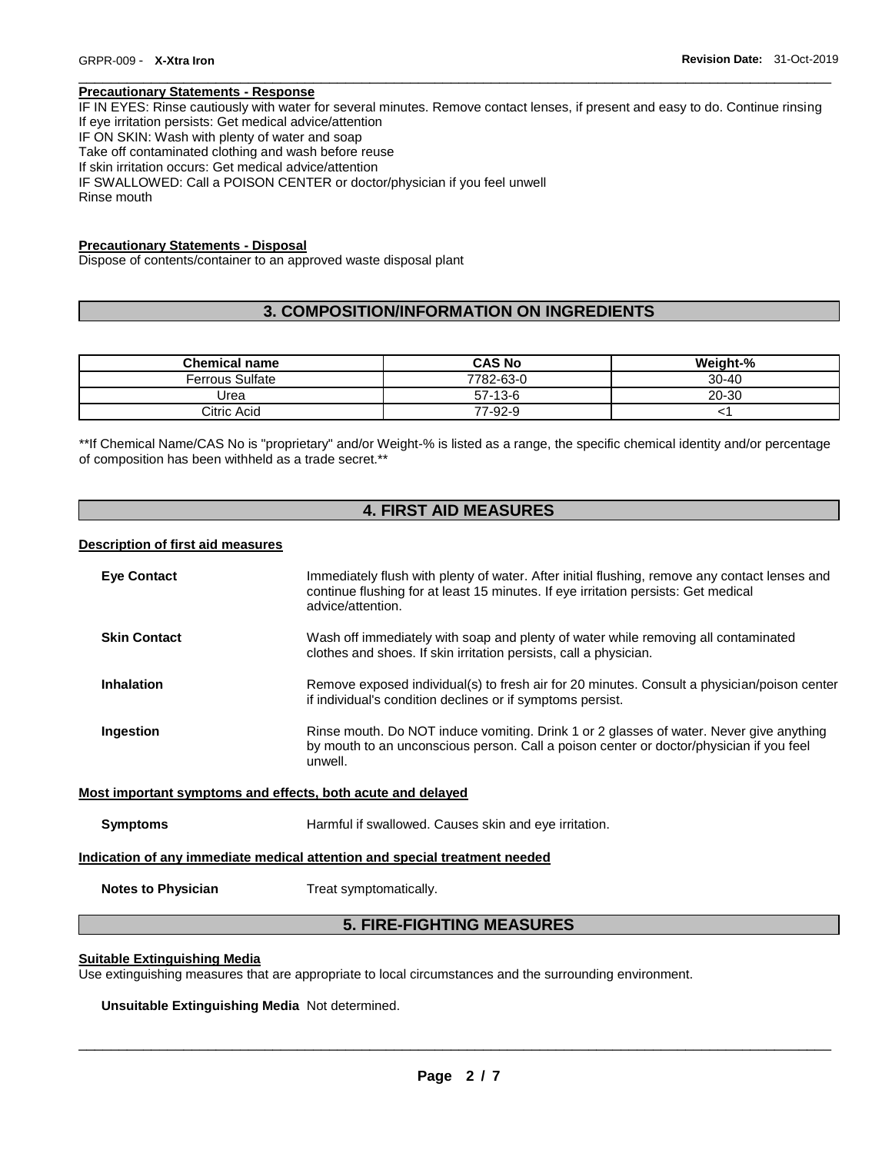## **Precautionary Statements - Response**

IF IN EYES: Rinse cautiously with water for several minutes. Remove contact lenses, if present and easy to do. Continue rinsing If eye irritation persists: Get medical advice/attention IF ON SKIN: Wash with plenty of water and soap Take off contaminated clothing and wash before reuse If skin irritation occurs: Get medical advice/attention IF SWALLOWED: Call a POISON CENTER or doctor/physician if you feel unwell Rinse mouth

\_\_\_\_\_\_\_\_\_\_\_\_\_\_\_\_\_\_\_\_\_\_\_\_\_\_\_\_\_\_\_\_\_\_\_\_\_\_\_\_\_\_\_\_\_\_\_\_\_\_\_\_\_\_\_\_\_\_\_\_\_\_\_\_\_\_\_\_\_\_\_\_\_\_\_\_\_\_\_\_\_\_\_\_\_\_\_\_\_\_\_\_\_

#### **Precautionary Statements - Disposal**

Dispose of contents/container to an approved waste disposal plant

# **3. COMPOSITION/INFORMATION ON INGREDIENTS**

| <b>Chemical name</b>   | <b>CAS No</b> | <b>Weight-%</b> |
|------------------------|---------------|-----------------|
| <b>Ferrous Sulfate</b> | 7782-63-0     | $30 - 40$       |
| Urea                   | $57-13-6$     | 20-30           |
| Citric Acid            | 77-92-9       |                 |

\*\*If Chemical Name/CAS No is "proprietary" and/or Weight-% is listed as a range, the specific chemical identity and/or percentage of composition has been withheld as a trade secret.\*\*

# **4. FIRST AID MEASURES**

## **Description of first aid measures**

| <b>Eye Contact</b>                                                         | Immediately flush with plenty of water. After initial flushing, remove any contact lenses and<br>continue flushing for at least 15 minutes. If eye irritation persists: Get medical<br>advice/attention. |  |
|----------------------------------------------------------------------------|----------------------------------------------------------------------------------------------------------------------------------------------------------------------------------------------------------|--|
| <b>Skin Contact</b>                                                        | Wash off immediately with soap and plenty of water while removing all contaminated<br>clothes and shoes. If skin irritation persists, call a physician.                                                  |  |
| <b>Inhalation</b>                                                          | Remove exposed individual(s) to fresh air for 20 minutes. Consult a physician/poison center<br>if individual's condition declines or if symptoms persist.                                                |  |
| Ingestion                                                                  | Rinse mouth. Do NOT induce vomiting. Drink 1 or 2 glasses of water. Never give anything<br>by mouth to an unconscious person. Call a poison center or doctor/physician if you feel<br>unwell.            |  |
| Most important symptoms and effects, both acute and delayed                |                                                                                                                                                                                                          |  |
| <b>Symptoms</b>                                                            | Harmful if swallowed. Causes skin and eye irritation.                                                                                                                                                    |  |
| Indication of any immediate medical attention and special treatment needed |                                                                                                                                                                                                          |  |
| <b>Notes to Physician</b>                                                  | Treat symptomatically.                                                                                                                                                                                   |  |
| <b>5. FIRE-FIGHTING MEASURES</b>                                           |                                                                                                                                                                                                          |  |

#### **Suitable Extinguishing Media**

Use extinguishing measures that are appropriate to local circumstances and the surrounding environment.

**Unsuitable Extinguishing Media** Not determined.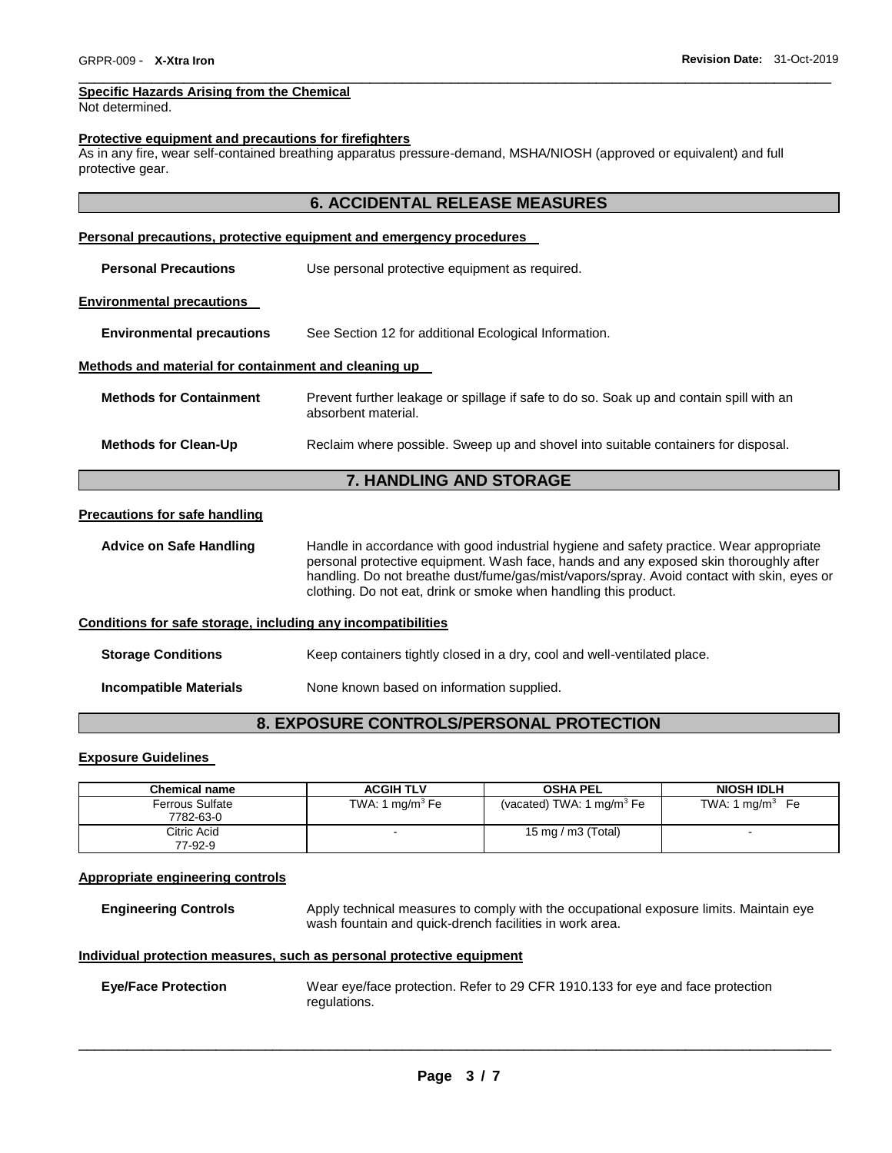#### **Specific Hazards Arising from the Chemical**

Not determined.

#### **Protective equipment and precautions for firefighters**

As in any fire, wear self-contained breathing apparatus pressure-demand, MSHA/NIOSH (approved or equivalent) and full protective gear.

## **6. ACCIDENTAL RELEASE MEASURES**

\_\_\_\_\_\_\_\_\_\_\_\_\_\_\_\_\_\_\_\_\_\_\_\_\_\_\_\_\_\_\_\_\_\_\_\_\_\_\_\_\_\_\_\_\_\_\_\_\_\_\_\_\_\_\_\_\_\_\_\_\_\_\_\_\_\_\_\_\_\_\_\_\_\_\_\_\_\_\_\_\_\_\_\_\_\_\_\_\_\_\_\_\_

| <b>Personal precautions, protective equipment and emergency procedures</b> |                                                                                                                                                                                                                                                                                                                                                    |  |
|----------------------------------------------------------------------------|----------------------------------------------------------------------------------------------------------------------------------------------------------------------------------------------------------------------------------------------------------------------------------------------------------------------------------------------------|--|
| <b>Personal Precautions</b>                                                | Use personal protective equipment as required.                                                                                                                                                                                                                                                                                                     |  |
| <b>Environmental precautions</b>                                           |                                                                                                                                                                                                                                                                                                                                                    |  |
| <b>Environmental precautions</b>                                           | See Section 12 for additional Ecological Information.                                                                                                                                                                                                                                                                                              |  |
| Methods and material for containment and cleaning up                       |                                                                                                                                                                                                                                                                                                                                                    |  |
| <b>Methods for Containment</b>                                             | Prevent further leakage or spillage if safe to do so. Soak up and contain spill with an<br>absorbent material.                                                                                                                                                                                                                                     |  |
| <b>Methods for Clean-Up</b>                                                | Reclaim where possible. Sweep up and shovel into suitable containers for disposal.                                                                                                                                                                                                                                                                 |  |
|                                                                            | <b>7. HANDLING AND STORAGE</b>                                                                                                                                                                                                                                                                                                                     |  |
| <b>Precautions for safe handling</b>                                       |                                                                                                                                                                                                                                                                                                                                                    |  |
| <b>Advice on Safe Handling</b>                                             | Handle in accordance with good industrial hygiene and safety practice. Wear appropriate<br>personal protective equipment. Wash face, hands and any exposed skin thoroughly after<br>handling. Do not breathe dust/fume/gas/mist/vapors/spray. Avoid contact with skin, eyes or<br>clothing. Do not eat, drink or smoke when handling this product. |  |
| Conditions for safe storage, including any incompatibilities               |                                                                                                                                                                                                                                                                                                                                                    |  |
| <b>Storage Conditions</b>                                                  | Keep containers tightly closed in a dry, cool and well-ventilated place.                                                                                                                                                                                                                                                                           |  |

**Incompatible Materials** None known based on information supplied.

# **8. EXPOSURE CONTROLS/PERSONAL PROTECTION**

## **Exposure Guidelines**

| Chemical name                       | <b>ACGIH TLV</b>  | <b>OSHA PEL</b>                       | <b>NIOSH IDLH</b>          |
|-------------------------------------|-------------------|---------------------------------------|----------------------------|
| <b>Ferrous Sulfate</b><br>7782-63-0 | TWA: 1 $mq/m3$ Fe | (vacated) TWA: 1 mg/m <sup>3</sup> Fe | TWA: $1 \text{ mg/m}^3$ Fe |
| Citric Acid<br>77-92-9              | -                 | 15 mg / m $3$ (Total)                 |                            |

## **Appropriate engineering controls**

**Engineering Controls** Apply technical measures to comply with the occupational exposure limits. Maintain eye wash fountain and quick-drench facilities in work area.

#### **Individual protection measures, such as personal protective equipment**

```
Eye/Face Protection Wear eye/face protection. Refer to 29 CFR 1910.133 for eye and face protection 
                   regulations.
```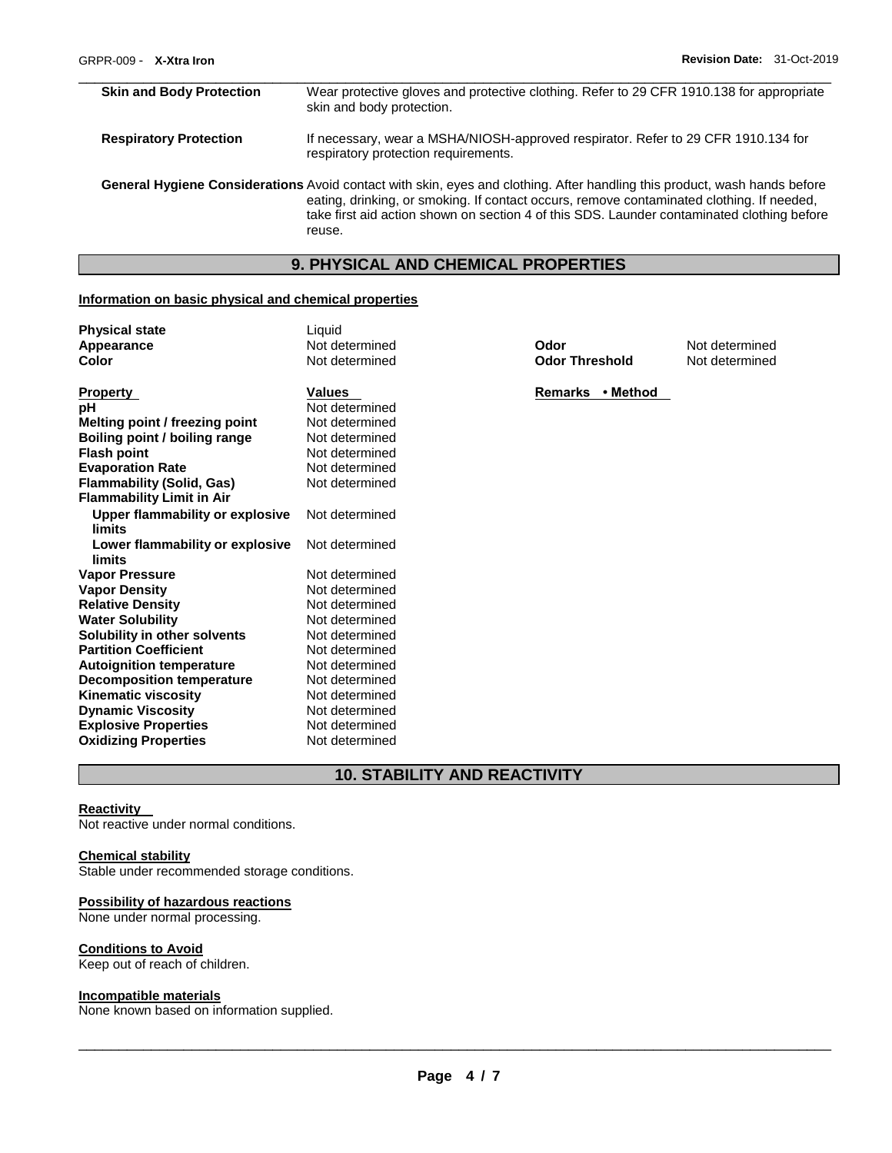| <b>Skin and Body Protection</b>                                                                                                                                                                                                                                                                                      | Wear protective gloves and protective clothing. Refer to 29 CFR 1910.138 for appropriate<br>skin and body protection.     |  |
|----------------------------------------------------------------------------------------------------------------------------------------------------------------------------------------------------------------------------------------------------------------------------------------------------------------------|---------------------------------------------------------------------------------------------------------------------------|--|
| <b>Respiratory Protection</b>                                                                                                                                                                                                                                                                                        | If necessary, wear a MSHA/NIOSH-approved respirator. Refer to 29 CFR 1910.134 for<br>respiratory protection requirements. |  |
| General Hygiene Considerations Avoid contact with skin, eyes and clothing. After handling this product, wash hands before<br>eating, drinking, or smoking. If contact occurs, remove contaminated clothing. If needed,<br>take first aid action shown on section 4 of this SDS. Launder contaminated clothing before |                                                                                                                           |  |

## **9. PHYSICAL AND CHEMICAL PROPERTIES**

## **Information on basic physical and chemical properties**

reuse.

| <b>Physical state</b>                     | Liquid         |                       |                |
|-------------------------------------------|----------------|-----------------------|----------------|
| Appearance                                | Not determined | Odor                  | Not determined |
| Color                                     | Not determined | <b>Odor Threshold</b> | Not determined |
| <b>Property</b>                           | <b>Values</b>  | Remarks • Method      |                |
| рH                                        | Not determined |                       |                |
| Melting point / freezing point            | Not determined |                       |                |
| Boiling point / boiling range             | Not determined |                       |                |
| <b>Flash point</b>                        | Not determined |                       |                |
| <b>Evaporation Rate</b>                   | Not determined |                       |                |
| <b>Flammability (Solid, Gas)</b>          | Not determined |                       |                |
| <b>Flammability Limit in Air</b>          |                |                       |                |
| Upper flammability or explosive<br>limits | Not determined |                       |                |
| Lower flammability or explosive<br>limits | Not determined |                       |                |
| <b>Vapor Pressure</b>                     | Not determined |                       |                |
| <b>Vapor Density</b>                      | Not determined |                       |                |
| <b>Relative Density</b>                   | Not determined |                       |                |
| <b>Water Solubility</b>                   | Not determined |                       |                |
| Solubility in other solvents              | Not determined |                       |                |
| <b>Partition Coefficient</b>              | Not determined |                       |                |
| <b>Autoignition temperature</b>           | Not determined |                       |                |
| <b>Decomposition temperature</b>          | Not determined |                       |                |
| <b>Kinematic viscosity</b>                | Not determined |                       |                |
| <b>Dynamic Viscosity</b>                  | Not determined |                       |                |
| <b>Explosive Properties</b>               | Not determined |                       |                |
| <b>Oxidizing Properties</b>               | Not determined |                       |                |

# **10. STABILITY AND REACTIVITY**

#### **Reactivity**

Not reactive under normal conditions.

### **Chemical stability**

Stable under recommended storage conditions.

#### **Possibility of hazardous reactions**

None under normal processing.

## **Conditions to Avoid**

Keep out of reach of children.

### **Incompatible materials**

None known based on information supplied.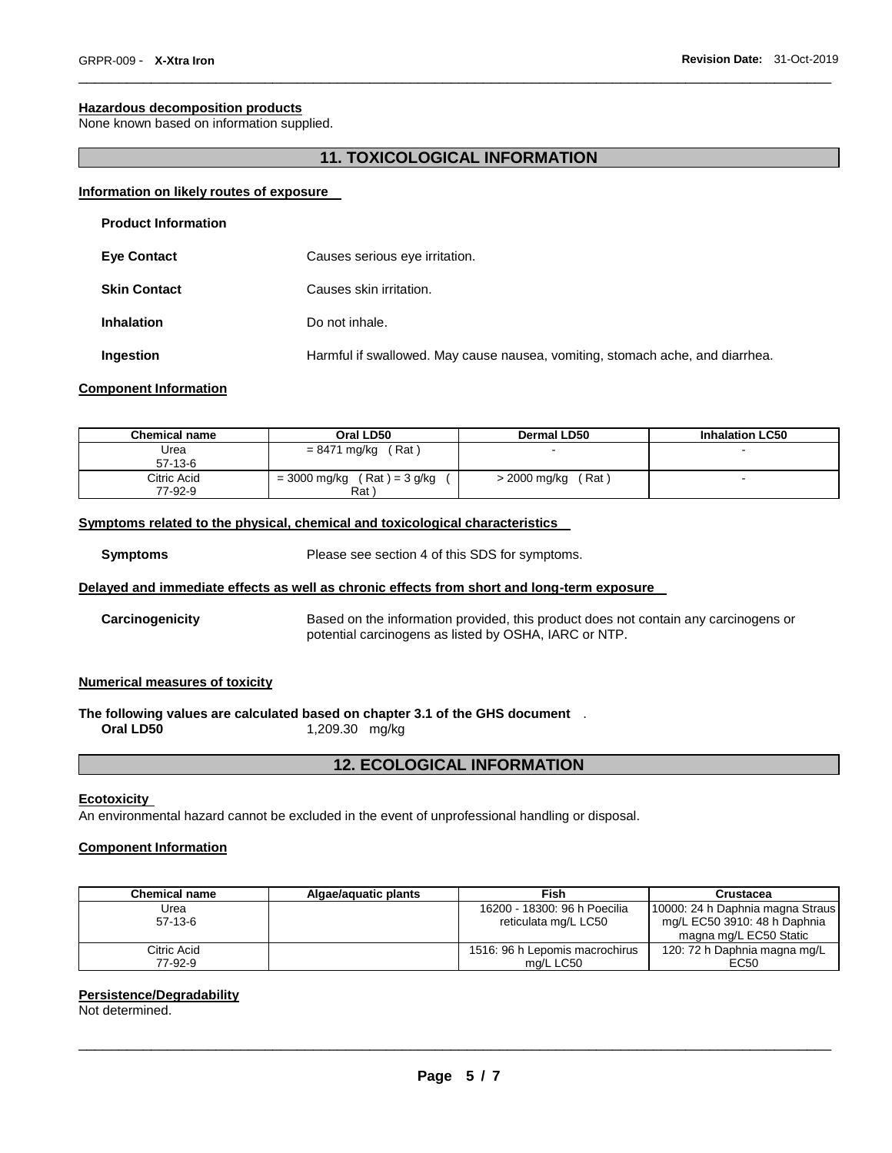## **Hazardous decomposition products**

None known based on information supplied.

## **11. TOXICOLOGICAL INFORMATION**

\_\_\_\_\_\_\_\_\_\_\_\_\_\_\_\_\_\_\_\_\_\_\_\_\_\_\_\_\_\_\_\_\_\_\_\_\_\_\_\_\_\_\_\_\_\_\_\_\_\_\_\_\_\_\_\_\_\_\_\_\_\_\_\_\_\_\_\_\_\_\_\_\_\_\_\_\_\_\_\_\_\_\_\_\_\_\_\_\_\_\_\_\_

## **Information on likely routes of exposure**

| <b>Product Information</b> |                                                                               |
|----------------------------|-------------------------------------------------------------------------------|
| <b>Eye Contact</b>         | Causes serious eye irritation.                                                |
| <b>Skin Contact</b>        | Causes skin irritation.                                                       |
| <b>Inhalation</b>          | Do not inhale.                                                                |
| Ingestion                  | Harmful if swallowed. May cause nausea, vomiting, stomach ache, and diarrhea. |

## **Component Information**

| <b>Chemical name</b>   | Oral LD50                              | Dermal LD50            | <b>Inhalation LC50</b> |
|------------------------|----------------------------------------|------------------------|------------------------|
| Urea<br>$57-13-6$      | Rat<br>$= 8471$ mg/kg                  |                        | -                      |
| Citric Acid<br>77-92-9 | $=$ 3000 mg/kg (Rat) = 3 g/kg<br>Rat ` | (Rat ˈ<br>> 2000 mg/kg | -                      |

#### **Symptoms related to the physical, chemical and toxicological characteristics**

**Symptoms** Please see section 4 of this SDS for symptoms.

### **Delayed and immediate effects as well as chronic effects from short and long-term exposure**

**Carcinogenicity** Based on the information provided, this product does not contain any carcinogens or potential carcinogens as listed by OSHA, IARC or NTP.

## **Numerical measures of toxicity**

# **The following values are calculated based on chapter 3.1 of the GHS document** .

**Oral LD50** 1,209.30 mg/kg

## **12. ECOLOGICAL INFORMATION**

#### **Ecotoxicity**

An environmental hazard cannot be excluded in the event of unprofessional handling or disposal.

## **Component Information**

| <b>Chemical name</b> | Algae/aquatic plants | Fish                           | Crustacea                        |
|----------------------|----------------------|--------------------------------|----------------------------------|
| Urea                 |                      | 16200 - 18300: 96 h Poecilia   | 10000: 24 h Daphnia magna Straus |
| $57-13-6$            |                      | reticulata mg/L LC50           | mg/L EC50 3910: 48 h Daphnia     |
|                      |                      |                                | magna mg/L EC50 Static           |
| Citric Acid          |                      | 1516: 96 h Lepomis macrochirus | 120: 72 h Daphnia magna mg/L     |
| 77-92-9              |                      | ma/L LC50                      | EC50                             |

## **Persistence/Degradability**

Not determined.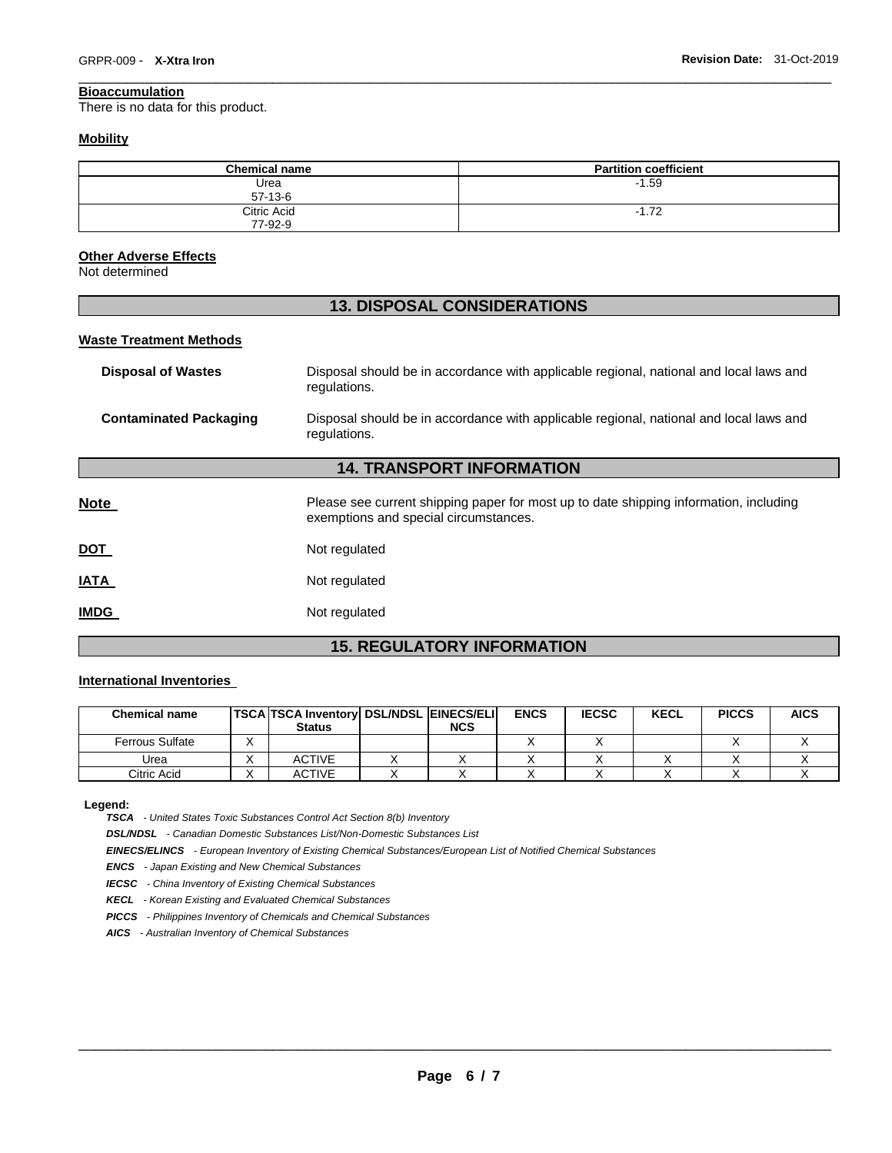#### \_\_\_\_\_\_\_\_\_\_\_\_\_\_\_\_\_\_\_\_\_\_\_\_\_\_\_\_\_\_\_\_\_\_\_\_\_\_\_\_\_\_\_\_\_\_\_\_\_\_\_\_\_\_\_\_\_\_\_\_\_\_\_\_\_\_\_\_\_\_\_\_\_\_\_\_\_\_\_\_\_\_\_\_\_\_\_\_\_\_\_\_\_ **Bioaccumulation**

There is no data for this product.

## **Mobility**

| <b>Chemical name</b>   | <b>Partition coefficient</b> |
|------------------------|------------------------------|
| Urea<br>$57-13-6$      | $-1.59$                      |
| Citric Acid<br>77-92-9 | $-1.72$                      |

## **Other Adverse Effects**

Not determined

# **13. DISPOSAL CONSIDERATIONS**

#### **Waste Treatment Methods**

| <b>Disposal of Wastes</b>        | Disposal should be in accordance with applicable regional, national and local laws and<br>regulations.                         |  |  |  |  |  |
|----------------------------------|--------------------------------------------------------------------------------------------------------------------------------|--|--|--|--|--|
| <b>Contaminated Packaging</b>    | Disposal should be in accordance with applicable regional, national and local laws and<br>regulations.                         |  |  |  |  |  |
| <b>14. TRANSPORT INFORMATION</b> |                                                                                                                                |  |  |  |  |  |
| <b>Note</b>                      | Please see current shipping paper for most up to date shipping information, including<br>exemptions and special circumstances. |  |  |  |  |  |
| <b>DOT</b>                       | Not regulated                                                                                                                  |  |  |  |  |  |
| IATA                             | Not regulated                                                                                                                  |  |  |  |  |  |
| <b>IMDG</b>                      | Not regulated                                                                                                                  |  |  |  |  |  |

# **15. REGULATORY INFORMATION**

## **International Inventories**

| <b>Chemical name</b>   | TSCA TSCA Inventory DSL/NDSL EINECS/ELI<br><b>Status</b> | <b>NCS</b> | <b>ENCS</b> | <b>IECSC</b> | <b>KECL</b> | <b>PICCS</b> | <b>AICS</b> |
|------------------------|----------------------------------------------------------|------------|-------------|--------------|-------------|--------------|-------------|
| <b>Ferrous Sulfate</b> |                                                          |            |             |              |             |              |             |
| Urea                   | <b>ACTIVE</b>                                            |            |             |              |             |              |             |
| Citric Acid            | <b>ACTIVE</b>                                            |            |             |              |             |              |             |

**Legend:** 

*TSCA - United States Toxic Substances Control Act Section 8(b) Inventory* 

*DSL/NDSL - Canadian Domestic Substances List/Non-Domestic Substances List* 

*EINECS/ELINCS - European Inventory of Existing Chemical Substances/European List of Notified Chemical Substances* 

*ENCS - Japan Existing and New Chemical Substances* 

*IECSC - China Inventory of Existing Chemical Substances* 

*KECL - Korean Existing and Evaluated Chemical Substances* 

*PICCS - Philippines Inventory of Chemicals and Chemical Substances* 

*AICS - Australian Inventory of Chemical Substances*